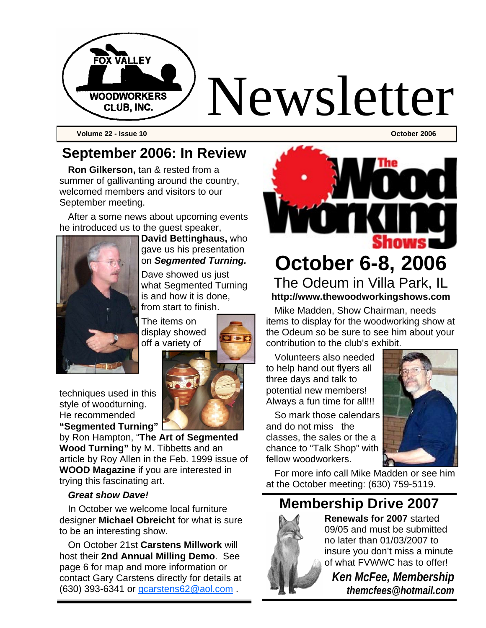

**Volume 22 - Issue 10 October 2006** 

### **September 2006: In Review**

**Ron Gilkerson,** tan & rested from a summer of gallivanting around the country, welcomed members and visitors to our September meeting.

After a some news about upcoming events he introduced us to the guest speaker,



**David Bettinghaus,** who gave us his presentation on *Segmented Turning.*

Dave showed us just what Segmented Turning is and how it is done, from start to finish.

The items on display showed off a variety of

techniques used in this style of woodturning. He recommended **"Segmented Turning"** 

by Ron Hampton, "**The Art of Segmented Wood Turning"** by M. Tibbetts and an article by Roy Allen in the Feb. 1999 issue of **WOOD Magazine** if you are interested in trying this fascinating art.

#### *Great show Dave!*

In October we welcome local furniture designer **Michael Obreicht** for what is sure to be an interesting show.

On October 21st **Carstens Millwork** will host their **2nd Annual Milling Demo**. See page 6 for map and more information or contact Gary Carstens directly for details at (630) 393-6341 or gcarstens62@aol.com .



**October 6-8, 2006** The Odeum in Villa Park, IL **http://www.thewoodworkingshows.com** 

Mike Madden, Show Chairman, needs items to display for the woodworking show at the Odeum so be sure to see him about your contribution to the club's exhibit.

Volunteers also needed to help hand out flyers all three days and talk to potential new members! Always a fun time for all!!!

So mark those calendars and do not miss the classes, the sales or the a chance to "Talk Shop" with fellow woodworkers.



For more info call Mike Madden or see him at the October meeting: (630) 759-5119.

### **Membership Drive 2007**



**Renewals for 2007** started 09/05 and must be submitted no later than 01/03/2007 to insure you don't miss a minute of what FVWWC has to offer!

*Ken McFee, Membership themcfees@hotmail.com*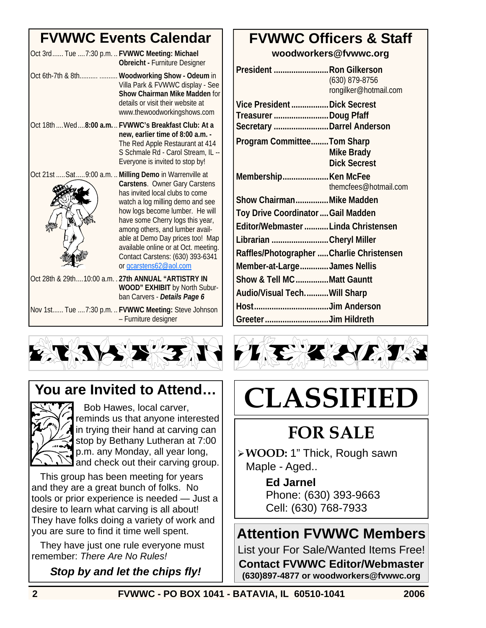### **FVWWC Events Calendar**

| Oct 3rd Tue  7:30 p.m.  FVWWC Meeting: Michael           | <b>Obreicht - Furniture Designer</b>                                                                                                                                                                                                                                                                                                                     |
|----------------------------------------------------------|----------------------------------------------------------------------------------------------------------------------------------------------------------------------------------------------------------------------------------------------------------------------------------------------------------------------------------------------------------|
|                                                          | Oct 6th-7th & 8th  Woodworking Show - Odeum in<br>Villa Park & FVWWC display - See<br><b>Show Chairman Mike Madden for</b><br>details or visit their website at<br>www.thewoodworkingshows.com                                                                                                                                                           |
| Oct 18th  Wed  8:00 a.m.  FVWWC's Breakfast Club: At a   | new, earlier time of 8:00 a.m. -<br>The Red Apple Restaurant at 414<br>S Schmale Rd - Carol Stream, IL --<br>Everyone is invited to stop by!                                                                                                                                                                                                             |
| Oct 21st  Sat  9:00 a.m.  Milling Demo in Warrenville at | Carstens. Owner Gary Carstens<br>has invited local clubs to come<br>watch a log milling demo and see<br>how logs become lumber. He will<br>have some Cherry logs this year,<br>among others, and lumber avail-<br>able at Demo Day prices too! Map<br>available online or at Oct. meeting.<br>Contact Carstens: (630) 393-6341<br>or gcarstens62@aol.com |
| Oct 28th & 29th10:00 a.m. . 27th ANNUAL "ARTISTRY IN     | WOOD" EXHIBIT by North Subur-<br>ban Carvers - Details Page 6                                                                                                                                                                                                                                                                                            |
|                                                          | Nov 1st Tue  7:30 p.m.  FVWWC Meeting: Steve Johnson                                                                                                                                                                                                                                                                                                     |

### **You are Invited to Attend…**



 Bob Hawes, local carver, reminds us that anyone interested in trying their hand at carving can stop by Bethany Lutheran at 7:00 p.m. any Monday, all year long, and check out their carving group.

– Furniture designer

This group has been meeting for years and they are a great bunch of folks. No tools or prior experience is needed — Just a desire to learn what carving is all about! They have folks doing a variety of work and you are sure to find it time well spent.

They have just one rule everyone must remember: *There Are No Rules!*

#### *Stop by and let the chips fly!*

### **FVWWC Officers & Staff**

**woodworkers@fvwwc.org** 

| President Ron Gilkerson                   | (630) 879-8756<br>rongilker@hotmail.com |
|-------------------------------------------|-----------------------------------------|
| Vice President  Dick Secrest              |                                         |
| Treasurer Doug Pfaff                      |                                         |
| Secretary  Darrel Anderson                |                                         |
| Program CommitteeTom Sharp                |                                         |
|                                           | Mike Brady                              |
|                                           | <b>Dick Secrest</b>                     |
| Membership Ken McFee                      |                                         |
|                                           | themcfees@hotmail.com                   |
| Show ChairmanMike Madden                  |                                         |
| Toy Drive Coordinator  Gail Madden        |                                         |
| Editor/Webmaster Linda Christensen        |                                         |
| Librarian Cheryl Miller                   |                                         |
| Raffles/Photographer  Charlie Christensen |                                         |
| Member-at-LargeJames Nellis               |                                         |
| Show & Tell MC Matt Gauntt                |                                         |
| Audio/Visual TechWill Sharp               |                                         |
| HostJim Anderson                          |                                         |
| Greeter Jim Hildreth                      |                                         |



# **CLASSIFIED**

## **FOR SALE**

¾ **WOOD:** 1" Thick, Rough sawn Maple - Aged..

> **Ed Jarnel** Phone: (630) 393-9663 Cell: (630) 768-7933

### **Attention FVWWC Members**

List your For Sale/Wanted Items Free! **Contact FVWWC Editor/Webmaster (630)897-4877 or woodworkers@fvwwc.org**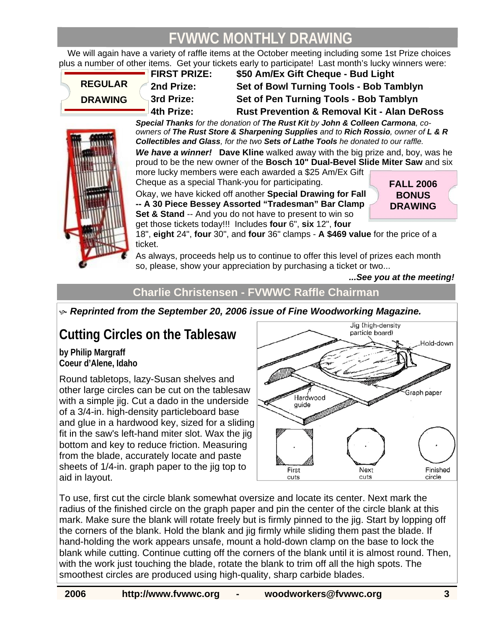### **FVWWC MONTHLY DRAWING**

We will again have a variety of raffle items at the October meeting including some 1st Prize choices plus a number of other items. Get your tickets early to participate! Last month's lucky winners were:

**REGULAR DRAWING** 

**FIRST PRIZE: \$50 Am/Ex Gift Cheque - Bud Light 2nd Prize: Set of Bowl Turning Tools - Bob Tamblyn 3rd Prize: Set of Pen Turning Tools - Bob Tamblyn 4th Prize: Rust Prevention & Removal Kit - Alan DeRoss** 

*Special Thanks for the donation of The Rust Kit by John & Colleen Carmona, coowners of The Rust Store & Sharpening Supplies and to Rich Rossio, owner of L & R Collectibles and Glass, for the two Sets of Lathe Tools he donated to our raffle.* 

*We have a winner!* **Dave Kline** walked away with the big prize and, boy, was he proud to be the new owner of the **Bosch 10" Dual-Bevel Slide Miter Saw** and six more lucky members were each awarded a \$25 Am/Ex Gift

Cheque as a special Thank-you for participating. Okay, we have kicked off another **Special Drawing for Fall** 

**-- A 30 Piece Bessey Assorted "Tradesman" Bar Clamp Set & Stand** -- And you do not have to present to win so get those tickets today!!! Includes **four** 6", **six** 12", **four**

**FALL 2006 BONUS DRAWING** 

18", **eight** 24", **four** 30", and **four** 36" clamps - **A \$469 value** for the price of a ticket.

As always, proceeds help us to continue to offer this level of prizes each month so, please, show your appreciation by purchasing a ticket or two...

*...See you at the meeting!* 

**Charlie Christensen - FVWWC Raffle Chairman** 

 $\bullet$  Reprinted from the September 20, 2006 issue of Fine Woodworking Magazine.

### **Cutting Circles on the Tablesaw**

**by Philip Margraff Coeur d'Alene, Idaho** 

Round tabletops, lazy-Susan shelves and other large circles can be cut on the tablesaw with a simple jig. Cut a dado in the underside of a 3/4-in. high-density particleboard base and glue in a hardwood key, sized for a sliding fit in the saw's left-hand miter slot. Wax the jig bottom and key to reduce friction. Measuring from the blade, accurately locate and paste sheets of 1/4-in. graph paper to the jig top to aid in layout.



To use, first cut the circle blank somewhat oversize and locate its center. Next mark the radius of the finished circle on the graph paper and pin the center of the circle blank at this mark. Make sure the blank will rotate freely but is firmly pinned to the jig. Start by lopping off the corners of the blank. Hold the blank and jig firmly while sliding them past the blade. If hand-holding the work appears unsafe, mount a hold-down clamp on the base to lock the blank while cutting. Continue cutting off the corners of the blank until it is almost round. Then, with the work just touching the blade, rotate the blank to trim off all the high spots. The smoothest circles are produced using high-quality, sharp carbide blades.

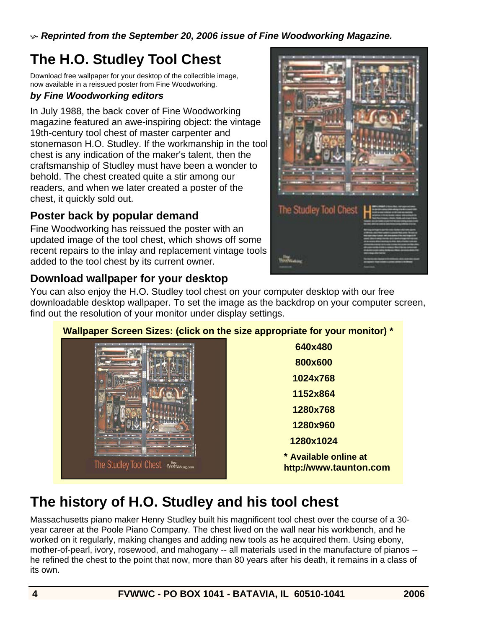$\bullet$  Reprinted from the September 20, 2006 issue of Fine Woodworking Magazine.

### **The H.O. Studley Tool Chest**

Download free wallpaper for your desktop of the collectible image, now available in a reissued poster from Fine Woodworking.

#### *by Fine Woodworking editors*

In July 1988, the back cover of Fine Woodworking magazine featured an awe-inspiring object: the vintage 19th-century tool chest of master carpenter and stonemason H.O. Studley. If the workmanship in the tool chest is any indication of the maker's talent, then the craftsmanship of Studley must have been a wonder to behold. The chest created quite a stir among our readers, and when we later created a poster of the chest, it quickly sold out.

#### **Poster back by popular demand**

Fine Woodworking has reissued the poster with an updated image of the tool chest, which shows off some recent repairs to the inlay and replacement vintage tools added to the tool chest by its current owner.

#### **Download wallpaper for your desktop**



You can also enjoy the H.O. Studley tool chest on your computer desktop with our free downloadable desktop wallpaper. To set the image as the backdrop on your computer screen, find out the resolution of your monitor under display settings.

#### **Wallpaper Screen Sizes: (click on the size appropriate for your monitor) \***



**640x480 800x600 1024x768 1152x864 1280x768 1280x960 1280x1024 \* Available online at http://www.taunton.com** 

### **The history of H.O. Studley and his tool chest**

Massachusetts piano maker Henry Studley built his magnificent tool chest over the course of a 30 year career at the Poole Piano Company. The chest lived on the wall near his workbench, and he worked on it regularly, making changes and adding new tools as he acquired them. Using ebony, mother-of-pearl, ivory, rosewood, and mahogany -- all materials used in the manufacture of pianos - he refined the chest to the point that now, more than 80 years after his death, it remains in a class of its own.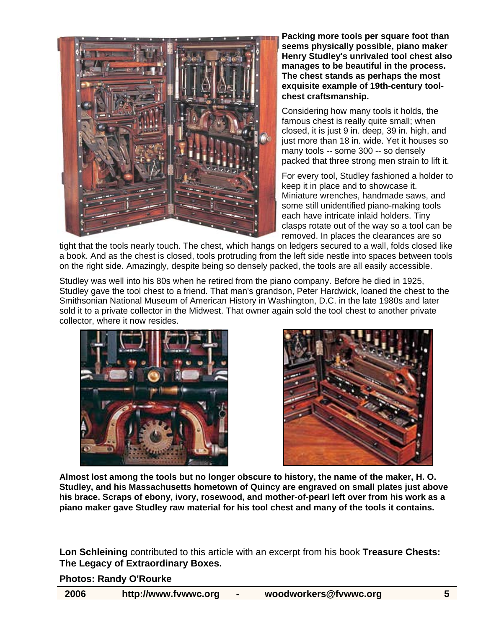

**Packing more tools per square foot than seems physically possible, piano maker Henry Studley's unrivaled tool chest also manages to be beautiful in the process. The chest stands as perhaps the most exquisite example of 19th-century toolchest craftsmanship.** 

Considering how many tools it holds, the famous chest is really quite small; when closed, it is just 9 in. deep, 39 in. high, and just more than 18 in. wide. Yet it houses so many tools -- some 300 -- so densely packed that three strong men strain to lift it.

For every tool, Studley fashioned a holder to keep it in place and to showcase it. Miniature wrenches, handmade saws, and some still unidentified piano-making tools each have intricate inlaid holders. Tiny clasps rotate out of the way so a tool can be removed. In places the clearances are so

tight that the tools nearly touch. The chest, which hangs on ledgers secured to a wall, folds closed like a book. And as the chest is closed, tools protruding from the left side nestle into spaces between tools on the right side. Amazingly, despite being so densely packed, the tools are all easily accessible.

Studley was well into his 80s when he retired from the piano company. Before he died in 1925, Studley gave the tool chest to a friend. That man's grandson, Peter Hardwick, loaned the chest to the Smithsonian National Museum of American History in Washington, D.C. in the late 1980s and later sold it to a private collector in the Midwest. That owner again sold the tool chest to another private collector, where it now resides.





**Almost lost among the tools but no longer obscure to history, the name of the maker, H. O. Studley, and his Massachusetts hometown of Quincy are engraved on small plates just above his brace. Scraps of ebony, ivory, rosewood, and mother-of-pearl left over from his work as a piano maker gave Studley raw material for his tool chest and many of the tools it contains.** 

**Lon Schleining** contributed to this article with an excerpt from his book **Treasure Chests: The Legacy of Extraordinary Boxes.** 

**Photos: Randy O'Rourke**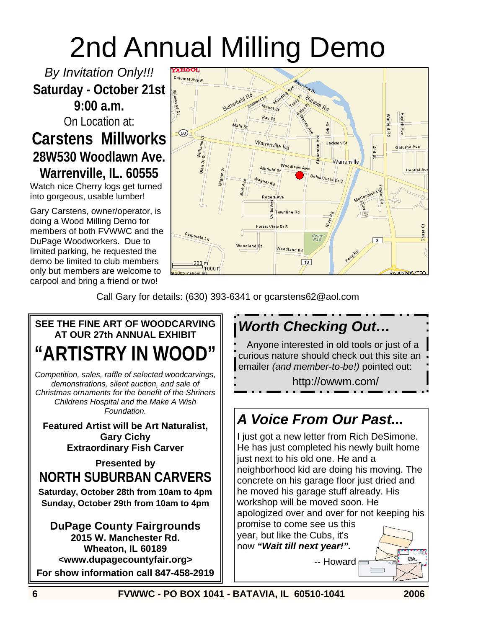## 2nd Annual Milling Demo

*By Invitation Only!!!*  **Saturday - October 21st 9:00 a.m.** 

On Location at:

### **Carstens Millworks 28W530 Woodlawn Ave. Warrenville, IL. 60555**

Watch nice Cherry logs get turned into gorgeous, usable lumber!

Gary Carstens, owner/operator, is doing a Wood Milling Demo for members of both FVWWC and the DuPage Woodworkers. Due to limited parking, he requested the demo be limited to club members only but members are welcome to carpool and bring a friend or two!



Call Gary for details: (630) 393-6341 or gcarstens62@aol.com

### **SEE THE FINE ART OF WOODCARVING AT OUR 27th ANNUAL EXHIBIT "ARTISTRY IN WOOD"**

*Competition, sales, raffle of selected woodcarvings, demonstrations, silent auction, and sale of Christmas ornaments for the benefit of the Shriners Childrens Hospital and the Make A Wish Foundation.* 

**Featured Artist will be Art Naturalist, Gary Cichy Extraordinary Fish Carver** 

**Presented by NORTH SUBURBAN CARVERS** 

**Saturday, October 28th from 10am to 4pm Sunday, October 29th from 10am to 4pm** 

**DuPage County Fairgrounds 2015 W. Manchester Rd. Wheaton, IL 60189 <www.dupagecountyfair.org> For show information call 847-458-2919** 

### *Worth Checking Out…*

Anyone interested in old tools or just of a curious nature should check out this site an emailer *(and member-to-be!)* pointed out:

http://owwm.com/

### *A Voice From Our Past...*

I just got a new letter from Rich DeSimone. He has just completed his newly built home just next to his old one. He and a neighborhood kid are doing his moving. The concrete on his garage floor just dried and he moved his garage stuff already. His workshop will be moved soon. He

apologized over and over for not keeping his promise to come see us this

year, but like the Cubs, it's now *"Wait till next year!".*

-- Howard

**SIST** 

 $\Box$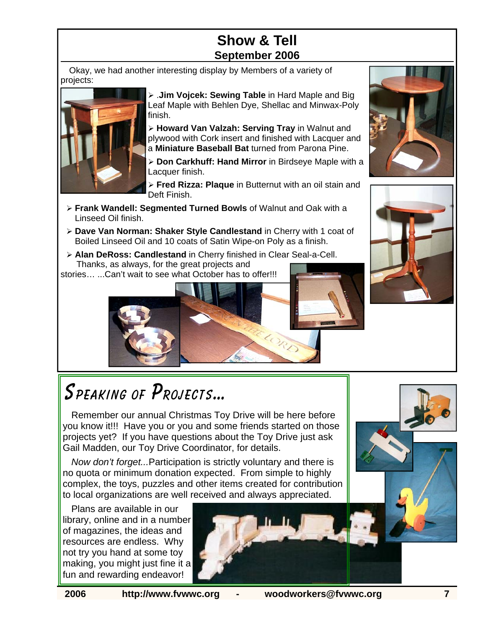### **Show & Tell September 2006**

Okay, we had another interesting display by Members of a variety of projects:



¾ .**Jim Vojcek: Sewing Table** in Hard Maple and Big Leaf Maple with Behlen Dye, Shellac and Minwax-Poly finish.

¾ **Howard Van Valzah: Serving Tray** in Walnut and plywood with Cork insert and finished with Lacquer and a **Miniature Baseball Bat** turned from Parona Pine.

¾ **Don Carkhuff: Hand Mirror** in Birdseye Maple with a Lacquer finish.

¾ **Fred Rizza: Plaque** in Butternut with an oil stain and Deft Finish.

LORD

- ¾ **Frank Wandell: Segmented Turned Bowls** of Walnut and Oak with a Linseed Oil finish.
- ¾ **Dave Van Norman: Shaker Style Candlestand** in Cherry with 1 coat of Boiled Linseed Oil and 10 coats of Satin Wipe-on Poly as a finish.
- ¾ **Alan DeRoss: Candlestand** in Cherry finished in Clear Seal-a-Cell. Thanks, as always, for the great projects and

stories… ...Can't wait to see what October has to offer!!!





## Speaking of Projects…

Remember our annual Christmas Toy Drive will be here before you know it!!! Have you or you and some friends started on those projects yet? If you have questions about the Toy Drive just ask Gail Madden, our Toy Drive Coordinator, for details.

*Now don't forget...*Participation is strictly voluntary and there is no quota or minimum donation expected. From simple to highly complex, the toys, puzzles and other items created for contribution to local organizations are well received and always appreciated.

Plans are available in our library, online and in a number of magazines, the ideas and resources are endless. Why not try you hand at some toy making, you might just fine it a fun and rewarding endeavor!